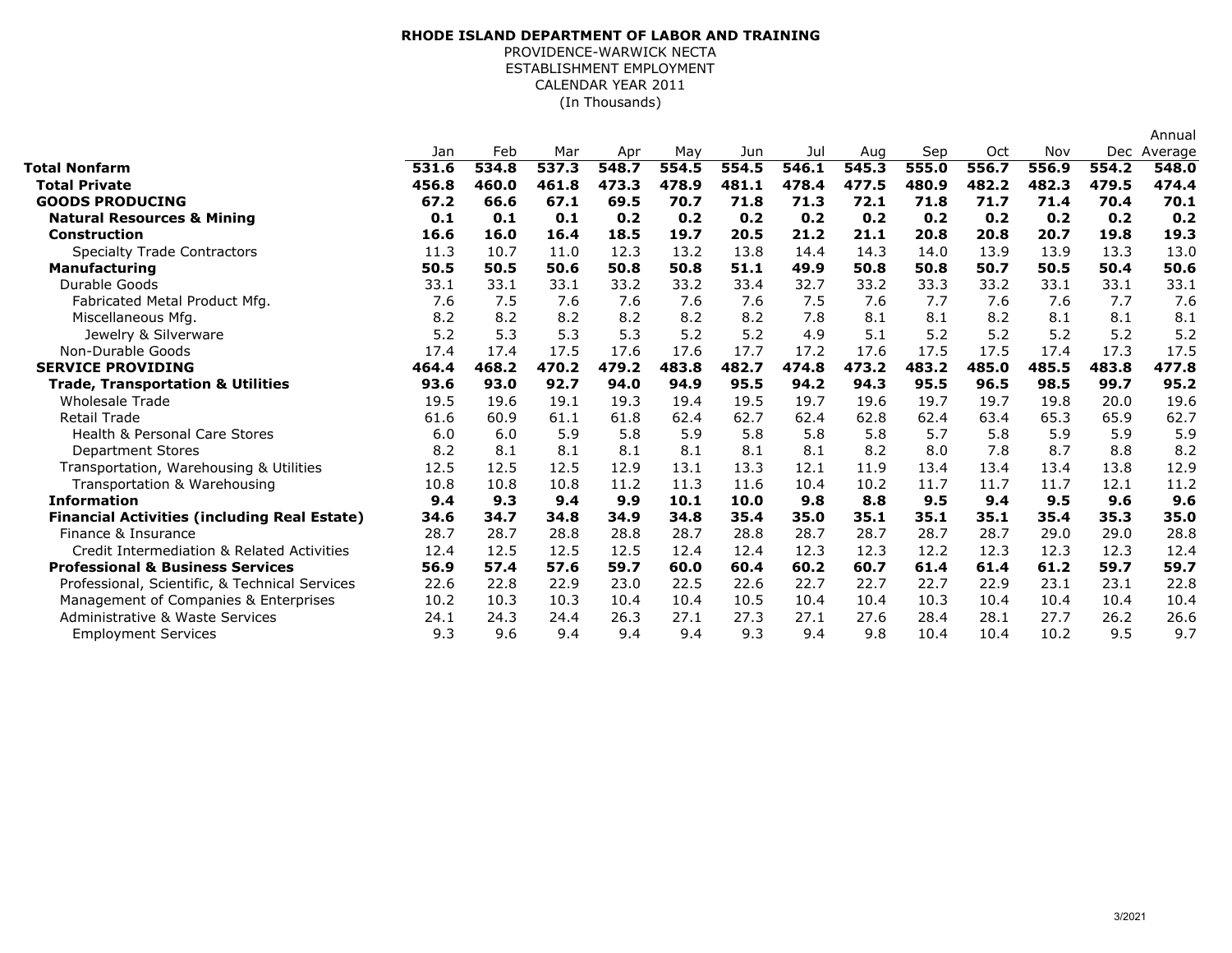## (In Thousands) **RHODE ISLAND DEPARTMENT OF LABOR AND TRAINING** PROVIDENCE-WARWICK NECTA ESTABLISHMENT EMPLOYMENT CALENDAR YEAR 2011

|       |                      |                     |              |              |              |              |              |       |       |              |              | Annual       |
|-------|----------------------|---------------------|--------------|--------------|--------------|--------------|--------------|-------|-------|--------------|--------------|--------------|
| Jan   | Feb                  | Mar                 | Apr          | May          | Jun          | Jul          | Aug          | Sep   | Oct   | Nov          |              | Dec Average  |
| 531.6 | 534.8                | 537.3               | 548.7        | 554.5        | 554.5        | 546.1        | 545.3        | 555.0 | 556.7 | 556.9        | 554.2        | 548.0        |
|       |                      |                     |              |              |              |              |              |       |       |              |              | 474.4        |
| 67.2  | 66.6                 | 67.1                | 69.5         | 70.7         | 71.8         | 71.3         | 72.1         | 71.8  | 71.7  | 71.4         | 70.4         | 70.1         |
| 0.1   | 0.1                  | 0.1                 | 0.2          | 0.2          | 0.2          | 0.2          | 0.2          | 0.2   | 0.2   | 0.2          | 0.2          | 0.2          |
| 16.6  | 16.0                 | 16.4                | 18.5         | 19.7         | 20.5         | 21.2         | 21.1         | 20.8  | 20.8  | 20.7         | 19.8         | 19.3         |
| 11.3  | 10.7                 | 11.0                | 12.3         | 13.2         | 13.8         | 14.4         | 14.3         | 14.0  | 13.9  | 13.9         | 13.3         | 13.0         |
| 50.5  | 50.5                 | 50.6                | 50.8         | 50.8         | 51.1         | 49.9         | 50.8         | 50.8  | 50.7  | 50.5         | 50.4         | 50.6         |
|       | 33.1                 | 33.1                | 33.2         | 33.2         | 33.4         | 32.7         | 33.2         | 33.3  | 33.2  | 33.1         | 33.1         | 33.1         |
| 7.6   |                      | 7.6                 | 7.6          | 7.6          | 7.6          |              | 7.6          | 7.7   | 7.6   | 7.6          | 7.7          | 7.6          |
| 8.2   | 8.2                  | 8.2                 | 8.2          | 8.2          | 8.2          | 7.8          | 8.1          | 8.1   | 8.2   | 8.1          | 8.1          | 8.1          |
|       |                      |                     |              |              |              | 4.9          | 5.1          | 5.2   |       |              |              | 5.2          |
| 17.4  | 17.4                 | 17.5                | 17.6         | 17.6         | 17.7         | 17.2         | 17.6         | 17.5  | 17.5  | 17.4         | 17.3         | 17.5         |
| 464.4 | 468.2                | 470.2               | 479.2        | 483.8        | 482.7        | 474.8        | 473.2        | 483.2 | 485.0 | 485.5        | 483.8        | 477.8        |
| 93.6  | 93.0                 | 92.7                | 94.0         | 94.9         | 95.5         | 94.2         | 94.3         | 95.5  | 96.5  | 98.5         | 99.7         | 95.2         |
| 19.5  | 19.6                 | 19.1                | 19.3         | 19.4         | 19.5         | 19.7         | 19.6         | 19.7  | 19.7  | 19.8         | 20.0         | 19.6         |
| 61.6  | 60.9                 | 61.1                | 61.8         | 62.4         | 62.7         | 62.4         | 62.8         | 62.4  | 63.4  | 65.3         | 65.9         | 62.7         |
| 6.0   | 6.0                  | 5.9                 | 5.8          | 5.9          | 5.8          | 5.8          | 5.8          | 5.7   | 5.8   | 5.9          | 5.9          | 5.9          |
| 8.2   | 8.1                  | 8.1                 | 8.1          | 8.1          | 8.1          | 8.1          | 8.2          | 8.0   | 7.8   | 8.7          | 8.8          | 8.2          |
| 12.5  | 12.5                 | 12.5                | 12.9         | 13.1         | 13.3         | 12.1         | 11.9         | 13.4  | 13.4  | 13.4         | 13.8         | 12.9         |
| 10.8  | 10.8                 | 10.8                | 11.2         | 11.3         | 11.6         | 10.4         | 10.2         | 11.7  | 11.7  | 11.7         | 12.1         | 11.2         |
| 9.4   | 9.3                  | 9.4                 | 9.9          | 10.1         | 10.0         | 9.8          | 8.8          | 9.5   | 9.4   | 9.5          | 9.6          | 9.6          |
| 34.6  | 34.7                 | 34.8                | 34.9         | 34.8         | 35.4         | 35.0         | 35.1         | 35.1  | 35.1  | 35.4         | 35.3         | 35.0         |
| 28.7  | 28.7                 | 28.8                | 28.8         | 28.7         | 28.8         | 28.7         | 28.7         | 28.7  | 28.7  | 29.0         | 29.0         | 28.8         |
| 12.4  | 12.5                 | 12.5                | 12.5         | 12.4         | 12.4         | 12.3         | 12.3         | 12.2  | 12.3  | 12.3         | 12.3         | 12.4         |
| 56.9  | 57.4                 | 57.6                | 59.7         | 60.0         | 60.4         | 60.2         | 60.7         | 61.4  | 61.4  | 61.2         | 59.7         | 59.7         |
| 22.6  | 22.8                 | 22.9                | 23.0         | 22.5         | 22.6         | 22.7         | 22.7         | 22.7  | 22.9  | 23.1         | 23.1         | 22.8         |
| 10.2  | 10.3                 | 10.3                | 10.4         | 10.4         | 10.5         | 10.4         | 10.4         | 10.3  | 10.4  | 10.4         | 10.4         | 10.4         |
| 24.1  | 24.3                 | 24.4                | 26.3         | 27.1         | 27.3         | 27.1         | 27.6         | 28.4  | 28.1  | 27.7         | 26.2         | 26.6         |
| 9.3   | 9.6                  | 9.4                 | 9.4          | 9.4          | 9.3          | 9.4          | 9.8          | 10.4  | 10.4  | 10.2         | 9.5          | 9.7          |
|       | 456.8<br>33.1<br>5.2 | 460.0<br>7.5<br>5.3 | 461.8<br>5.3 | 473.3<br>5.3 | 478.9<br>5.2 | 481.1<br>5.2 | 478.4<br>7.5 | 477.5 | 480.9 | 482.2<br>5.2 | 482.3<br>5.2 | 479.5<br>5.2 |